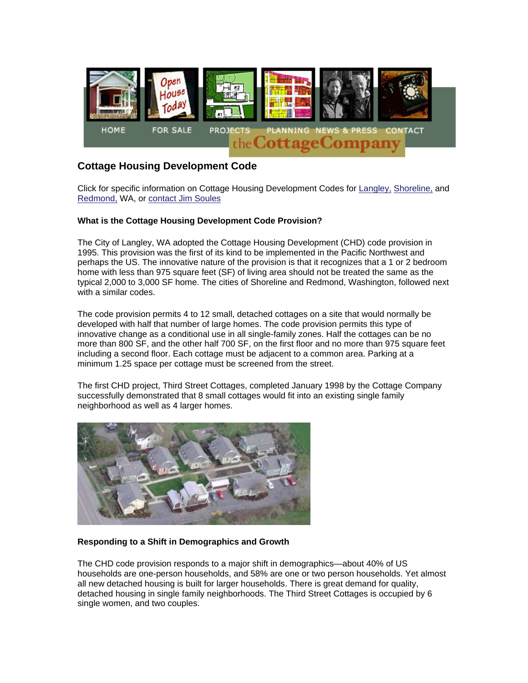

# **Cottage Housing Development Code**

Click for specific information on Cottage Housing Development Codes for Langley, Shoreline, and Redmond, WA, or contact Jim Soules

### **What is the Cottage Housing Development Code Provision?**

The City of Langley, WA adopted the Cottage Housing Development (CHD) code provision in 1995. This provision was the first of its kind to be implemented in the Pacific Northwest and perhaps the US. The innovative nature of the provision is that it recognizes that a 1 or 2 bedroom home with less than 975 square feet (SF) of living area should not be treated the same as the typical 2,000 to 3,000 SF home. The cities of Shoreline and Redmond, Washington, followed next with a similar codes

The code provision permits 4 to 12 small, detached cottages on a site that would normally be developed with half that number of large homes. The code provision permits this type of innovative change as a conditional use in all single-family zones. Half the cottages can be no more than 800 SF, and the other half 700 SF, on the first floor and no more than 975 square feet including a second floor. Each cottage must be adjacent to a common area. Parking at a minimum 1.25 space per cottage must be screened from the street.

The first CHD project, Third Street Cottages, completed January 1998 by the Cottage Company successfully demonstrated that 8 small cottages would fit into an existing single family neighborhood as well as 4 larger homes.



#### **Responding to a Shift in Demographics and Growth**

The CHD code provision responds to a major shift in demographics—about 40% of US households are one-person households, and 58% are one or two person households. Yet almost all new detached housing is built for larger households. There is great demand for quality, detached housing in single family neighborhoods. The Third Street Cottages is occupied by 6 single women, and two couples.